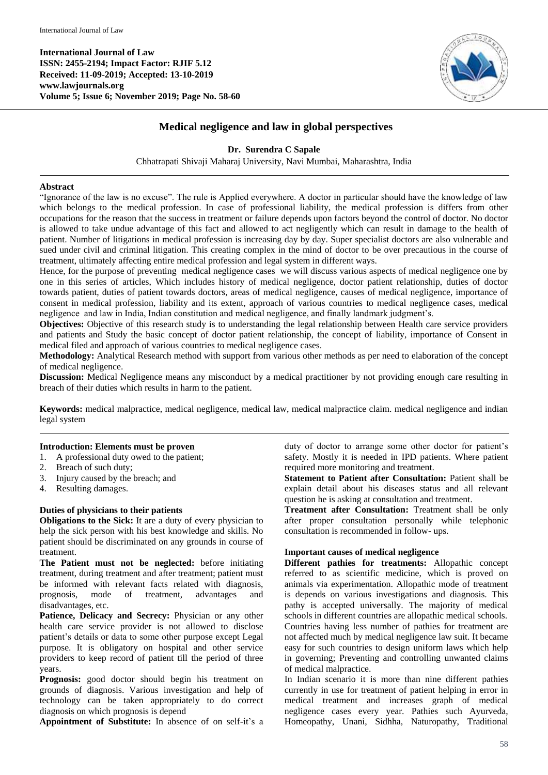**International Journal of Law ISSN: 2455-2194; Impact Factor: RJIF 5.12 Received: 11-09-2019; Accepted: 13-10-2019 www.lawjournals.org Volume 5; Issue 6; November 2019; Page No. 58-60**



# **Medical negligence and law in global perspectives**

### **Dr. Surendra C Sapale**

Chhatrapati Shivaji Maharaj University, Navi Mumbai, Maharashtra, India

#### **Abstract**

"Ignorance of the law is no excuse". The rule is Applied everywhere. A doctor in particular should have the knowledge of law which belongs to the medical profession. In case of professional liability, the medical profession is differs from other occupations for the reason that the success in treatment or failure depends upon factors beyond the control of doctor. No doctor is allowed to take undue advantage of this fact and allowed to act negligently which can result in damage to the health of patient. Number of litigations in medical profession is increasing day by day. Super specialist doctors are also vulnerable and sued under civil and criminal litigation. This creating complex in the mind of doctor to be over precautious in the course of treatment, ultimately affecting entire medical profession and legal system in different ways.

Hence, for the purpose of preventing medical negligence cases we will discuss various aspects of medical negligence one by one in this series of articles, Which includes history of medical negligence, doctor patient relationship, duties of doctor towards patient, duties of patient towards doctors, areas of medical negligence, causes of medical negligence, importance of consent in medical profession, liability and its extent, approach of various countries to medical negligence cases, medical negligence and law in India, Indian constitution and medical negligence, and finally landmark judgment's.

**Objectives:** Objective of this research study is to understanding the legal relationship between Health care service providers and patients and Study the basic concept of doctor patient relationship, the concept of liability, importance of Consent in medical filed and approach of various countries to medical negligence cases.

**Methodology:** Analytical Research method with support from various other methods as per need to elaboration of the concept of medical negligence.

**Discussion:** Medical Negligence means any misconduct by a medical practitioner by not providing enough care resulting in breach of their duties which results in harm to the patient.

**Keywords:** medical malpractice, medical negligence, medical law, medical malpractice claim. medical negligence and indian legal system

#### **Introduction: Elements must be proven**

1. A professional duty owed to the patient;

- 2. Breach of such duty;
- 3. Injury caused by the breach; and
- 4. Resulting damages.

## **Duties of physicians to their patients**

**Obligations to the Sick:** It are a duty of every physician to help the sick person with his best knowledge and skills. No patient should be discriminated on any grounds in course of treatment.

**The Patient must not be neglected:** before initiating treatment, during treatment and after treatment; patient must be informed with relevant facts related with diagnosis, prognosis, mode of treatment, advantages and disadvantages, etc.

**Patience, Delicacy and Secrecy:** Physician or any other health care service provider is not allowed to disclose patient's details or data to some other purpose except Legal purpose. It is obligatory on hospital and other service providers to keep record of patient till the period of three years.

**Prognosis:** good doctor should begin his treatment on grounds of diagnosis. Various investigation and help of technology can be taken appropriately to do correct diagnosis on which prognosis is depend

**Appointment of Substitute:** In absence of on self-it's a

duty of doctor to arrange some other doctor for patient's safety. Mostly it is needed in IPD patients. Where patient required more monitoring and treatment.

**Statement to Patient after Consultation:** Patient shall be explain detail about his diseases status and all relevant question he is asking at consultation and treatment.

**Treatment after Consultation:** Treatment shall be only after proper consultation personally while telephonic consultation is recommended in follow- ups.

#### **Important causes of medical negligence**

**Different pathies for treatments:** Allopathic concept referred to as scientific medicine, which is proved on animals via experimentation. Allopathic mode of treatment is depends on various investigations and diagnosis. This pathy is accepted universally. The majority of medical schools in different countries are allopathic medical schools. Countries having less number of pathies for treatment are not affected much by medical negligence law suit. It became easy for such countries to design uniform laws which help in governing; Preventing and controlling unwanted claims of medical malpractice.

In Indian scenario it is more than nine different pathies currently in use for treatment of patient helping in error in medical treatment and increases graph of medical negligence cases every year. Pathies such Ayurveda, Homeopathy, Unani, Sidhha, Naturopathy, Traditional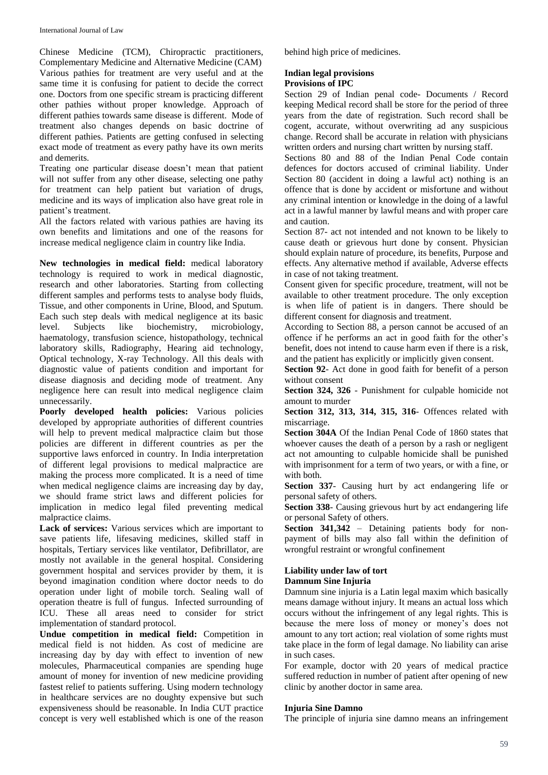Chinese Medicine (TCM), Chiropractic practitioners, Complementary Medicine and Alternative Medicine (CAM) Various pathies for treatment are very useful and at the same time it is confusing for patient to decide the correct one. Doctors from one specific stream is practicing different other pathies without proper knowledge. Approach of different pathies towards same disease is different. Mode of treatment also changes depends on basic doctrine of different pathies. Patients are getting confused in selecting exact mode of treatment as every pathy have its own merits and demerits.

Treating one particular disease doesn't mean that patient will not suffer from any other disease, selecting one pathy for treatment can help patient but variation of drugs, medicine and its ways of implication also have great role in patient's treatment.

All the factors related with various pathies are having its own benefits and limitations and one of the reasons for increase medical negligence claim in country like India.

**New technologies in medical field:** medical laboratory technology is required to work in medical diagnostic, research and other laboratories. Starting from collecting different samples and performs tests to analyse body fluids, Tissue, and other components in Urine, Blood, and Sputum. Each such step deals with medical negligence at its basic level. Subjects like biochemistry, microbiology, haematology, transfusion science, histopathology, technical laboratory skills, Radiography, Hearing aid technology, Optical technology, X-ray Technology. All this deals with diagnostic value of patients condition and important for disease diagnosis and deciding mode of treatment. Any negligence here can result into medical negligence claim unnecessarily.

**Poorly developed health policies:** Various policies developed by appropriate authorities of different countries will help to prevent medical malpractice claim but those policies are different in different countries as per the supportive laws enforced in country. In India interpretation of different legal provisions to medical malpractice are making the process more complicated. It is a need of time when medical negligence claims are increasing day by day, we should frame strict laws and different policies for implication in medico legal filed preventing medical malpractice claims.

**Lack of services:** Various services which are important to save patients life, lifesaving medicines, skilled staff in hospitals, Tertiary services like ventilator, Defibrillator, are mostly not available in the general hospital. Considering government hospital and services provider by them, it is beyond imagination condition where doctor needs to do operation under light of mobile torch. Sealing wall of operation theatre is full of fungus. Infected surrounding of ICU. These all areas need to consider for strict implementation of standard protocol.

**Undue competition in medical field:** Competition in medical field is not hidden. As cost of medicine are increasing day by day with effect to invention of new molecules, Pharmaceutical companies are spending huge amount of money for invention of new medicine providing fastest relief to patients suffering. Using modern technology in healthcare services are no doughty expensive but such expensiveness should be reasonable. In India CUT practice concept is very well established which is one of the reason behind high price of medicines.

### **Indian legal provisions Provisions of IPC**

Section 29 of Indian penal code- Documents / Record keeping Medical record shall be store for the period of three years from the date of registration. Such record shall be cogent, accurate, without overwriting ad any suspicious change. Record shall be accurate in relation with physicians written orders and nursing chart written by nursing staff.

Sections 80 and 88 of the Indian Penal Code contain defences for doctors accused of criminal liability. Under Section 80 (accident in doing a lawful act) nothing is an offence that is done by accident or misfortune and without any criminal intention or knowledge in the doing of a lawful act in a lawful manner by lawful means and with proper care and caution.

Section 87- act not intended and not known to be likely to cause death or grievous hurt done by consent. Physician should explain nature of procedure, its benefits, Purpose and effects. Any alternative method if available, Adverse effects in case of not taking treatment.

Consent given for specific procedure, treatment, will not be available to other treatment procedure. The only exception is when life of patient is in dangers. There should be different consent for diagnosis and treatment.

According to Section 88, a person cannot be accused of an offence if he performs an act in good faith for the other's benefit, does not intend to cause harm even if there is a risk, and the patient has explicitly or implicitly given consent.

**Section 92**- Act done in good faith for benefit of a person without consent

**Section 324, 326** - Punishment for culpable homicide not amount to murder

**Section 312, 313, 314, 315, 316**- Offences related with miscarriage.

**Section 304A** Of the Indian Penal Code of 1860 states that whoever causes the death of a person by a rash or negligent act not amounting to culpable homicide shall be punished with imprisonment for a term of two years, or with a fine, or with both.

**Section 337-** Causing hurt by act endangering life or personal safety of others.

**Section 338**- Causing grievous hurt by act endangering life or personal Safety of others.

**Section 341,342** – Detaining patients body for nonpayment of bills may also fall within the definition of wrongful restraint or wrongful confinement

#### **Liability under law of tort Damnum Sine Injuria**

Damnum sine injuria is a Latin legal maxim which basically means damage without injury. It means an actual loss which occurs without the infringement of any legal rights. This is because the mere loss of money or money's does not amount to any tort action; real violation of some rights must take place in the form of legal damage. No liability can arise in such cases.

For example, doctor with 20 years of medical practice suffered reduction in number of patient after opening of new clinic by another doctor in same area.

# **Injuria Sine Damno**

The principle of injuria sine damno means an infringement